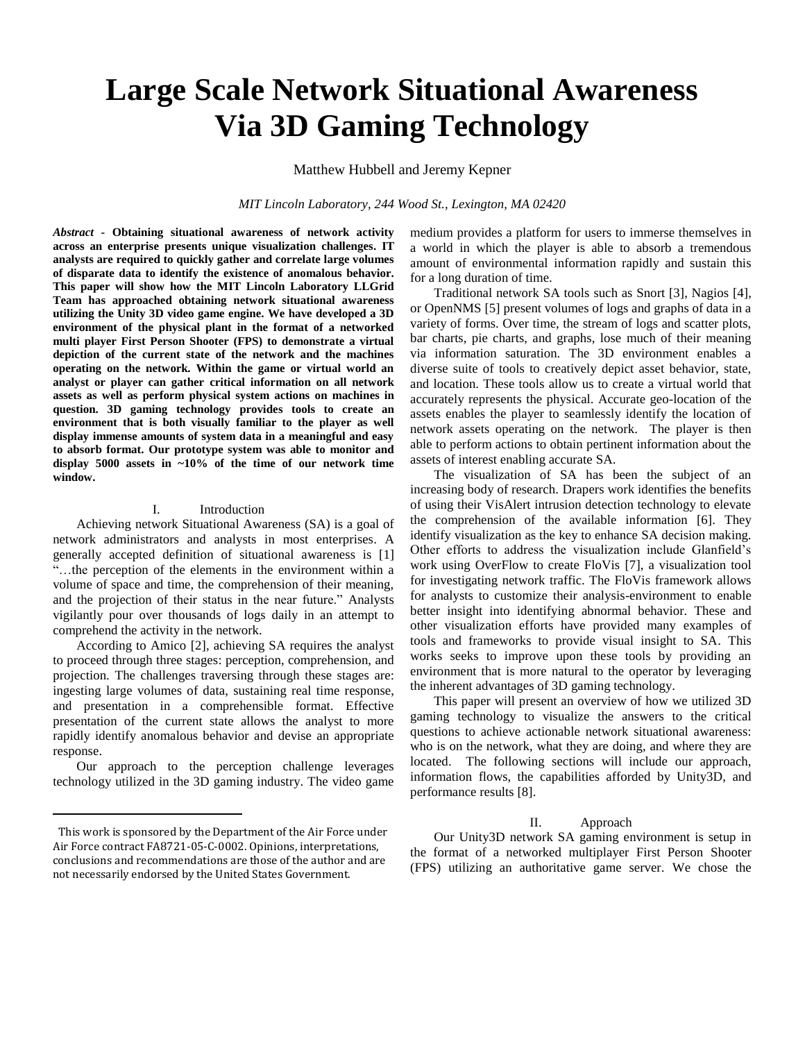# **Large Scale Network Situational Awareness Via 3D Gaming Technology**

Matthew Hubbell and Jeremy Kepner

*MIT Lincoln Laboratory, 244 Wood St., Lexington, MA 02420*

*Abstract* **- Obtaining situational awareness of network activity across an enterprise presents unique visualization challenges. IT analysts are required to quickly gather and correlate large volumes of disparate data to identify the existence of anomalous behavior. This paper will show how the MIT Lincoln Laboratory LLGrid Team has approached obtaining network situational awareness utilizing the Unity 3D video game engine. We have developed a 3D environment of the physical plant in the format of a networked multi player First Person Shooter (FPS) to demonstrate a virtual depiction of the current state of the network and the machines operating on the network. Within the game or virtual world an analyst or player can gather critical information on all network assets as well as perform physical system actions on machines in question. 3D gaming technology provides tools to create an environment that is both visually familiar to the player as well display immense amounts of system data in a meaningful and easy to absorb format. Our prototype system was able to monitor and display 5000 assets in ~10% of the time of our network time window.<sup>1</sup>**

#### I. Introduction

Achieving network Situational Awareness (SA) is a goal of network administrators and analysts in most enterprises. A generally accepted definition of situational awareness is [1] "…the perception of the elements in the environment within a volume of space and time, the comprehension of their meaning, and the projection of their status in the near future." Analysts vigilantly pour over thousands of logs daily in an attempt to comprehend the activity in the network.

According to Amico [2], achieving SA requires the analyst to proceed through three stages: perception, comprehension, and projection. The challenges traversing through these stages are: ingesting large volumes of data, sustaining real time response, and presentation in a comprehensible format. Effective presentation of the current state allows the analyst to more rapidly identify anomalous behavior and devise an appropriate response.

Our approach to the perception challenge leverages technology utilized in the 3D gaming industry. The video game

l

medium provides a platform for users to immerse themselves in a world in which the player is able to absorb a tremendous amount of environmental information rapidly and sustain this for a long duration of time.

Traditional network SA tools such as Snort [3], Nagios [4], or OpenNMS [5] present volumes of logs and graphs of data in a variety of forms. Over time, the stream of logs and scatter plots, bar charts, pie charts, and graphs, lose much of their meaning via information saturation. The 3D environment enables a diverse suite of tools to creatively depict asset behavior, state, and location. These tools allow us to create a virtual world that accurately represents the physical. Accurate geo-location of the assets enables the player to seamlessly identify the location of network assets operating on the network. The player is then able to perform actions to obtain pertinent information about the assets of interest enabling accurate SA.

The visualization of SA has been the subject of an increasing body of research. Drapers work identifies the benefits of using their VisAlert intrusion detection technology to elevate the comprehension of the available information [6]. They identify visualization as the key to enhance SA decision making. Other efforts to address the visualization include Glanfield's work using OverFlow to create FloVis [7], a visualization tool for investigating network traffic. The FloVis framework allows for analysts to customize their analysis-environment to enable better insight into identifying abnormal behavior. These and other visualization efforts have provided many examples of tools and frameworks to provide visual insight to SA. This works seeks to improve upon these tools by providing an environment that is more natural to the operator by leveraging the inherent advantages of 3D gaming technology.

This paper will present an overview of how we utilized 3D gaming technology to visualize the answers to the critical questions to achieve actionable network situational awareness: who is on the network, what they are doing, and where they are located. The following sections will include our approach, information flows, the capabilities afforded by Unity3D, and performance results [8].

# II. Approach

Our Unity3D network SA gaming environment is setup in the format of a networked multiplayer First Person Shooter (FPS) utilizing an authoritative game server. We chose the

This work is sponsored by the Department of the Air Force under Air Force contract FA8721-05-C-0002. Opinions, interpretations, conclusions and recommendations are those of the author and are not necessarily endorsed by the United States Government.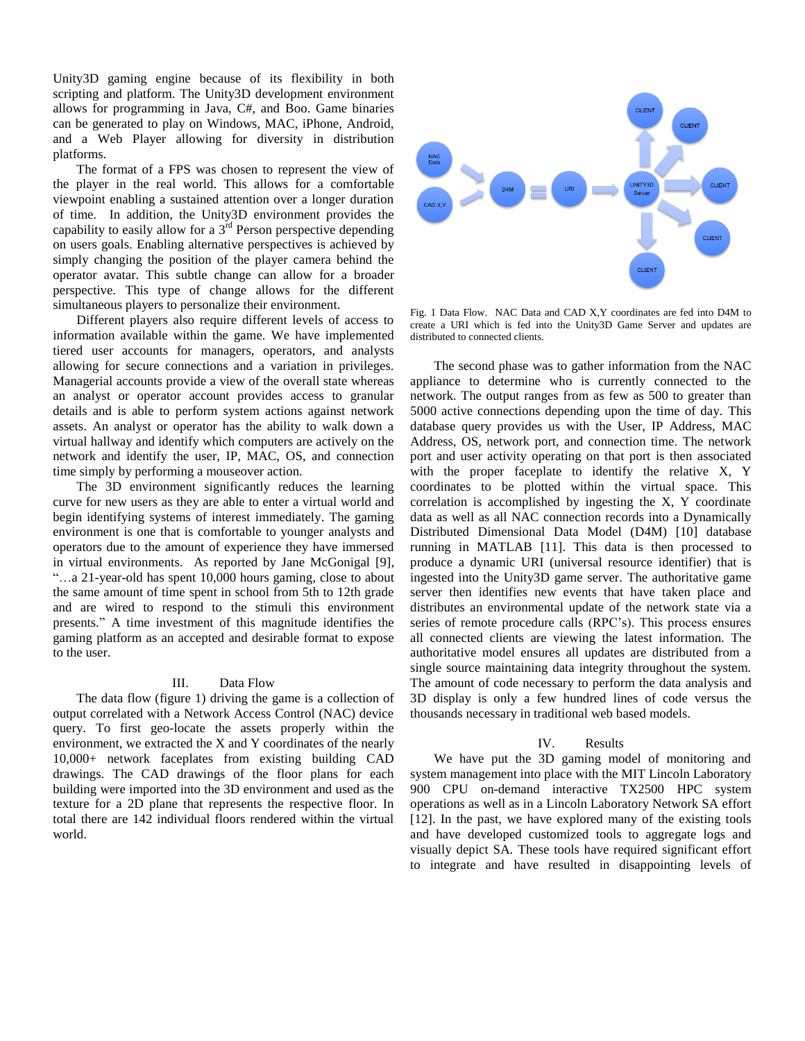Unity3D gaming engine because of its flexibility in both scripting and platform. The Unity3D development environment allows for programming in Java, C#, and Boo. Game binaries can be generated to play on Windows, MAC, iPhone, Android, and a Web Player allowing for diversity in distribution platforms.

The format of a FPS was chosen to represent the view of the player in the real world. This allows for a comfortable viewpoint enabling a sustained attention over a longer duration of time. In addition, the Unity3D environment provides the capability to easily allow for a  $3^{rd}$  Person perspective depending on users goals. Enabling alternative perspectives is achieved by simply changing the position of the player camera behind the operator avatar. This subtle change can allow for a broader perspective. This type of change allows for the different simultaneous players to personalize their environment.

Different players also require different levels of access to information available within the game. We have implemented tiered user accounts for managers, operators, and analysts allowing for secure connections and a variation in privileges. Managerial accounts provide a view of the overall state whereas an analyst or operator account provides access to granular details and is able to perform system actions against network assets. An analyst or operator has the ability to walk down a virtual hallway and identify which computers are actively on the network and identify the user, IP, MAC, OS, and connection time simply by performing a mouseover action.

The 3D environment significantly reduces the learning curve for new users as they are able to enter a virtual world and begin identifying systems of interest immediately. The gaming environment is one that is comfortable to younger analysts and operators due to the amount of experience they have immersed in virtual environments. As reported by Jane McGonigal [9], "…a 21-year-old has spent 10,000 hours gaming, close to about the same amount of time spent in school from 5th to 12th grade and are wired to respond to the stimuli this environment presents." A time investment of this magnitude identifies the gaming platform as an accepted and desirable format to expose to the user.

## III. Data Flow

The data flow (figure 1) driving the game is a collection of output correlated with a Network Access Control (NAC) device query. To first geo-locate the assets properly within the environment, we extracted the X and Y coordinates of the nearly 10,000+ network faceplates from existing building CAD drawings. The CAD drawings of the floor plans for each building were imported into the 3D environment and used as the texture for a 2D plane that represents the respective floor. In total there are 142 individual floors rendered within the virtual world.



Fig. 1 Data Flow. NAC Data and CAD X,Y coordinates are fed into D4M to create a URI which is fed into the Unity3D Game Server and updates are distributed to connected clients.

The second phase was to gather information from the NAC appliance to determine who is currently connected to the network. The output ranges from as few as 500 to greater than 5000 active connections depending upon the time of day. This database query provides us with the User, IP Address, MAC Address, OS, network port, and connection time. The network port and user activity operating on that port is then associated with the proper faceplate to identify the relative X, Y coordinates to be plotted within the virtual space. This correlation is accomplished by ingesting the X, Y coordinate data as well as all NAC connection records into a Dynamically Distributed Dimensional Data Model (D4M) [10] database running in MATLAB [11]. This data is then processed to produce a dynamic URI (universal resource identifier) that is ingested into the Unity3D game server. The authoritative game server then identifies new events that have taken place and distributes an environmental update of the network state via a series of remote procedure calls (RPC's). This process ensures all connected clients are viewing the latest information. The authoritative model ensures all updates are distributed from a single source maintaining data integrity throughout the system. The amount of code necessary to perform the data analysis and 3D display is only a few hundred lines of code versus the thousands necessary in traditional web based models.

#### IV. Results

We have put the 3D gaming model of monitoring and system management into place with the MIT Lincoln Laboratory 900 CPU on-demand interactive TX2500 HPC system operations as well as in a Lincoln Laboratory Network SA effort [12]. In the past, we have explored many of the existing tools and have developed customized tools to aggregate logs and visually depict SA. These tools have required significant effort to integrate and have resulted in disappointing levels of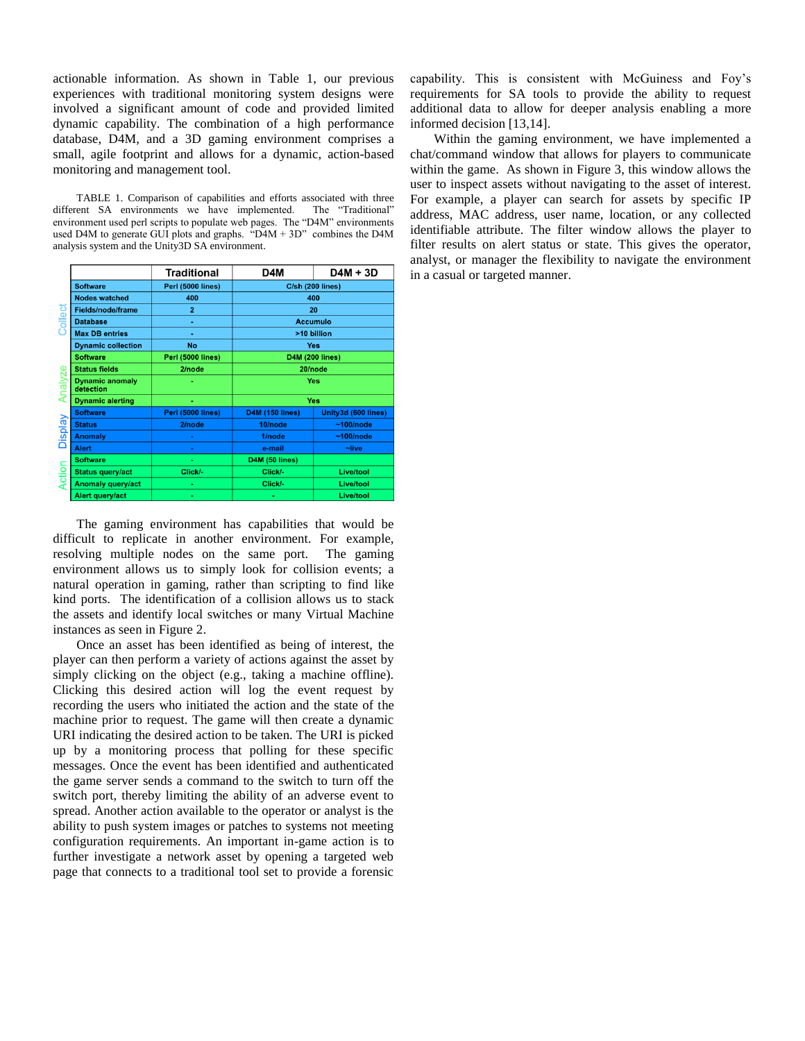actionable information. As shown in Table 1, our previous experiences with traditional monitoring system designs were involved a significant amount of code and provided limited dynamic capability. The combination of a high performance database, D4M, and a 3D gaming environment comprises a small, agile footprint and allows for a dynamic, action-based monitoring and management tool.

TABLE 1. Comparison of capabilities and efforts associated with three different SA environments we have implemented. The "Traditional" environment used perl scripts to populate web pages. The "D4M" environments used D4M to generate GUI plots and graphs. " $D4M + 3D$ " combines the D4M analysis system and the Unity3D SA environment.

|                             |                                     | <b>Traditional</b> | D4M                     | $D4M + 3D$             |
|-----------------------------|-------------------------------------|--------------------|-------------------------|------------------------|
| ollect<br><b>ze</b><br>Anal | <b>Software</b>                     | Perl (5000 lines)  | <b>C/sh (200 lines)</b> |                        |
|                             | <b>Nodes watched</b>                | 400                | 400                     |                        |
|                             | <b>Fields/node/frame</b>            | $\overline{2}$     | 20                      |                        |
|                             | <b>Database</b>                     | ٠                  | <b>Accumulo</b>         |                        |
|                             | <b>Max DB entries</b>               | ٠                  | >10 billion             |                        |
|                             | <b>Dynamic collection</b>           | No                 | Yes                     |                        |
|                             | <b>Software</b>                     | Perl (5000 lines)  | <b>D4M (200 lines)</b>  |                        |
|                             | <b>Status fields</b>                | 2/node             | 20/node                 |                        |
|                             | <b>Dynamic anomaly</b><br>detection |                    | Yes                     |                        |
|                             | <b>Dynamic alerting</b>             |                    | Yes                     |                        |
| <b>Display</b>              | <b>Software</b>                     | Perl (5000 lines)  | <b>D4M (150 lines)</b>  | Unity3d (600 lines)    |
|                             | <b>Status</b>                       | 2/node             | 10/node                 | $~100$ /node           |
|                             | <b>Anomaly</b>                      | ٠                  | 1/node                  | $~100$ /node           |
|                             | <b>Alert</b>                        |                    | e-mail                  | $\nightharpoonup$ live |
| Action                      | <b>Software</b>                     | ٠                  | D4M (50 lines)          |                        |
|                             | <b>Status query/act</b>             | Click/-            | Click/-                 | Live/tool              |
|                             | <b>Anomaly query/act</b>            | ۰                  | Click/-                 | <b>Live/tool</b>       |
|                             | Alert query/act                     | ٠                  | ٠                       | <b>Live/tool</b>       |

The gaming environment has capabilities that would be difficult to replicate in another environment. For example, resolving multiple nodes on the same port. The gaming environment allows us to simply look for collision events; a natural operation in gaming, rather than scripting to find like kind ports. The identification of a collision allows us to stack the assets and identify local switches or many Virtual Machine instances as seen in Figure 2.

Once an asset has been identified as being of interest, the player can then perform a variety of actions against the asset by simply clicking on the object (e.g., taking a machine offline). Clicking this desired action will log the event request by recording the users who initiated the action and the state of the machine prior to request. The game will then create a dynamic URI indicating the desired action to be taken. The URI is picked up by a monitoring process that polling for these specific messages. Once the event has been identified and authenticated the game server sends a command to the switch to turn off the switch port, thereby limiting the ability of an adverse event to spread. Another action available to the operator or analyst is the ability to push system images or patches to systems not meeting configuration requirements. An important in-game action is to further investigate a network asset by opening a targeted web page that connects to a traditional tool set to provide a forensic

capability. This is consistent with McGuiness and Foy's requirements for SA tools to provide the ability to request additional data to allow for deeper analysis enabling a more informed decision [13,14].

Within the gaming environment, we have implemented a chat/command window that allows for players to communicate within the game. As shown in Figure 3, this window allows the user to inspect assets without navigating to the asset of interest. For example, a player can search for assets by specific IP address, MAC address, user name, location, or any collected identifiable attribute. The filter window allows the player to filter results on alert status or state. This gives the operator, analyst, or manager the flexibility to navigate the environment in a casual or targeted manner.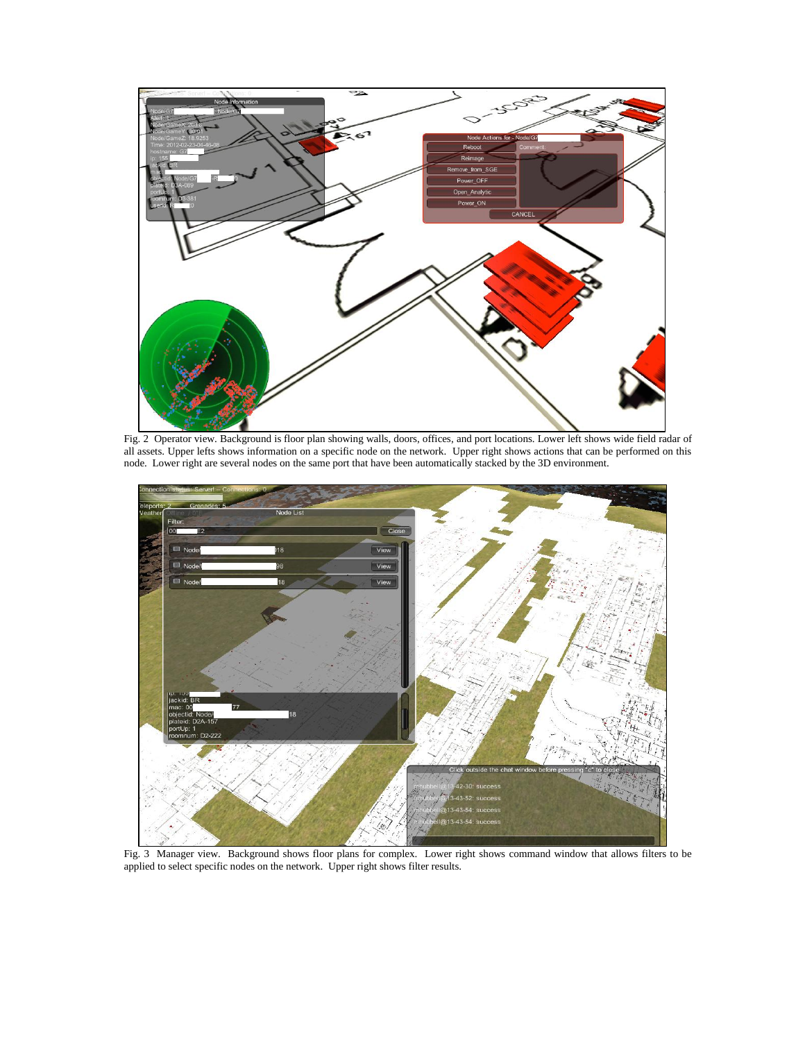

Fig. 2 Operator view. Background is floor plan showing walls, doors, offices, and port locations. Lower left shows wide field radar of all assets. Upper lefts shows information on a specific node on the network. Upper right shows actions that can be performed on this node. Lower right are several nodes on the same port that have been automatically stacked by the 3D environment.



Fig. 3 Manager view. Background shows floor plans for complex. Lower right shows command window that allows filters to be applied to select specific nodes on the network. Upper right shows filter results.